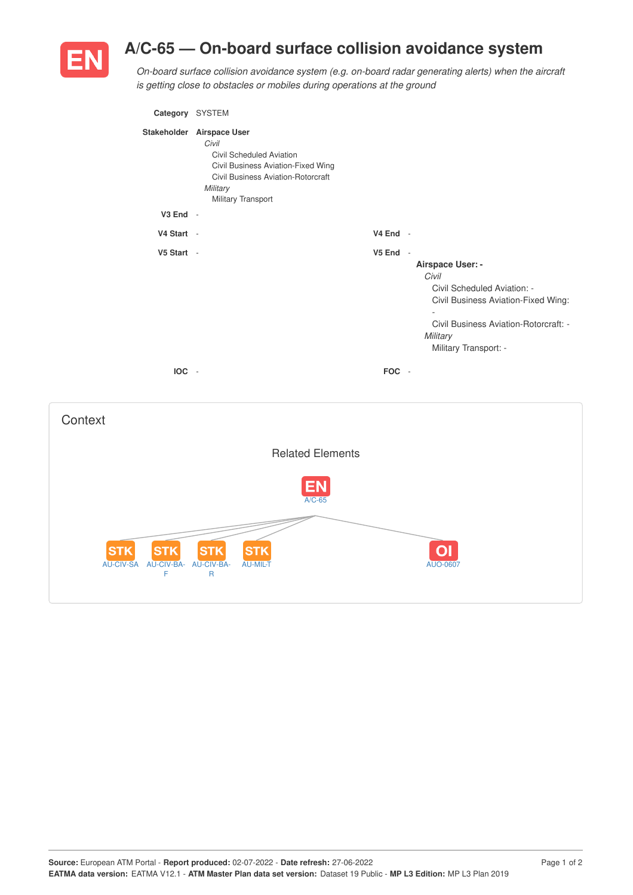

## **A/C-65 — On-board surface collision avoidance system**

*On-board surface collision avoidance system (e.g. on-board radar generating alerts) when the aircraft is getting close to obstacles or mobiles during operations at the ground*

| Category SYSTEM |                                                                                                                                                                                            |            |                                                                                                                                                                                                           |
|-----------------|--------------------------------------------------------------------------------------------------------------------------------------------------------------------------------------------|------------|-----------------------------------------------------------------------------------------------------------------------------------------------------------------------------------------------------------|
|                 | Stakeholder Airspace User<br>Civil<br><b>Civil Scheduled Aviation</b><br>Civil Business Aviation-Fixed Wing<br><b>Civil Business Aviation-Rotorcraft</b><br>Military<br>Military Transport |            |                                                                                                                                                                                                           |
| $V3$ End $-$    |                                                                                                                                                                                            |            |                                                                                                                                                                                                           |
| V4 Start -      |                                                                                                                                                                                            | $V4$ End - |                                                                                                                                                                                                           |
| V5 Start -      |                                                                                                                                                                                            | V5 End -   | Airspace User: -<br>Civil<br>Civil Scheduled Aviation: -<br>Civil Business Aviation-Fixed Wing:<br>$\overline{\phantom{a}}$<br>Civil Business Aviation-Rotorcraft: -<br>Military<br>Military Transport: - |
| $IOC -$         |                                                                                                                                                                                            | FOC -      |                                                                                                                                                                                                           |